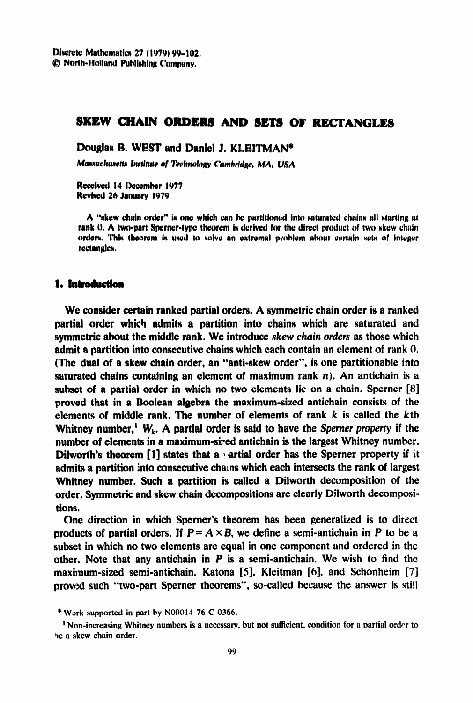Discrete Mathematics 27 (1979) 99-102.  $\oslash$  North-Holland Publishing Company.

# **SKEW CHAIN ORDERS AND SETS OF RECTANGLES**

Douglas B. WEST and Daniel J. KLEITMAN\*

Massachusetts Institute of Technology Cambridge, MA, USA

Received 14 December 1977 Revised 26 January 1979

A "skew chain order" is one which can be partitioned into saturated chains all starting at rank 0. A two-part Sperner-type theorem is derived for the direct product of two skew chain **orders. This theorem is used to solve an extremal problem about certain sets of integer** rectangles.

### 1. Introduction

**We consider certain ranked partial orders. A symmetric chain order is a** ranked **partial order** which admits a partition into chains which are saturated and **symmetric about the middle rank. We introduce skew** *chain orders as* those which admit a partition into consecutive chains which each contain an element of rank 0. (The **dual of a skew chain order, an "anti-skew order", is one partitionable into Aaturated chains containing an element of maximum rank n). An antichain is a**  subset of a partial order in which no two elements lie on a chain. Sperner  $[8]$ proved that **in a Boolean algebra the maximum-sized antichain consists of the elements of middle rank. The number of elements of rank k is called the kth**  Whitney number,<sup>1</sup>  $W_k$ . A partial order is said to have the *Sperner property* if the number of elements in a maximum-sized antichain is the largest Whitney number. Dilworth's theorem  $[1]$  states that a *vartial order* has the Sperner property if it admits a partition into consecutive chains which each intersects the rank of largest **Whitney number.** Such a partition is called a Dilworth decomposition of the order. Symmetric and skew chain decompositions are clearly Dilworth decompositions.

One direction in which Sperner's theorem has been generalized is to direct products of partial orders. If  $P = A \times B$ , we define a semi-antichain in P to be a **subset in which no two elements are equal** in one component and ordered in the other. Note that any antichain in  $P$  is a semi-antichain. We wish to find the maximum-sized semi-antichain. Katona [5], Kleitman [6], and Schonheim [7] proved such "two-part Sperner theorems", so-called because the answer is still

<sup>\*</sup> **Wxk suppo rted in part by NO001476-C-0366.** 

<sup>&</sup>lt;sup>1</sup> Non-increasing Whitney numbers is a necessary, but not sufficient, condition for a partial order to **he a skew chain order.**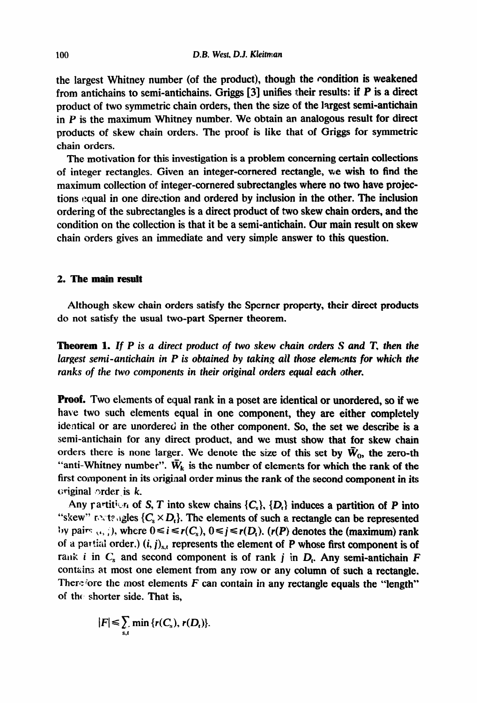the largest Whitney number (of the product), though the condition is weakened **from antichains to semi-antichains. Griggs [3] unifies their results: if P is a direct product of two symmetric chain orders, then the size of the largest semi-antichain**  in P is the maximum Whitney number. We obtain an analogous result for direct products of skew chain orders. The proof is like that of Griggs for symmetric chain orders.

The motivation for this investigation is a problem concerning certain collections **of** integer rectangles. Given an integer-cornered rectangle, we wish to find the maximum collection of integer-cornered subrectangles where no two have projections equal in one direction and ordered by inclusion in the other. The inclusion ordering of the subrectangles is a direct product of two skew chain orders, and the condition on the collection is that it be a semi-antichain. Our main result on skew chain orders gives an immediate and very simple answer to this question.

### 2. The **main result**

Although skew chain orders satisfy the Sperner property, their direct products do not satisfy the usual two-part Sperner theorem.

*Theorem 1. If P is a direct product of two skew chain orders S and T, then the largest semi-antichain in P is obtained by taking ail those elements for which the ranks of the two components in their original orders equal each other.* 

**Proof. Two elements of equal rank in a poset are identical or unordered, so if we**  have two such elements equal in one component, they are either completely **identical or are unordered in the other component. So, the set we describe is a semi-antichain for any direct product, and we must show that for skew chain**  orders there is none larger. We denote the size of this set by  $\bar{W}_0$ , the zero-th "anti-Whitney number".  $\bar{W}_k$  is the number of elements for which the rank of the first component in its original order minus the rank of the second component in its original **(order . is k.** 

Any partition of S, T into skew chains  $\{C_s\}$ ,  $\{D_t\}$  induces a partition of P into "skew" meta<sub>ngles</sub>  $\{C_s \times D_t\}$ . The elements of such a rectangle can be represented  $i$ y pairs  $(t, j)$ , where  $0 \le i \le r(C_s)$ ,  $0 \le j \le r(D_t)$ . (r(P) denotes the (maximum) rank of a partial order.)  $(i, j)_{s,t}$  represents the element of P whose first component is of rank *i* in  $C_s$  and second component is of rank j in  $D_t$ . Any semi-antichain  $F$ **contzina at most one element from any row** or any column of such a rectangle. Therefore the most elements  $F$  can contain in any rectangle equals the "length" **of the, shorter side. That is,** 

$$
|F| \leq \sum_{s,t} \min \{r(C_s), r(D_t)\}.
$$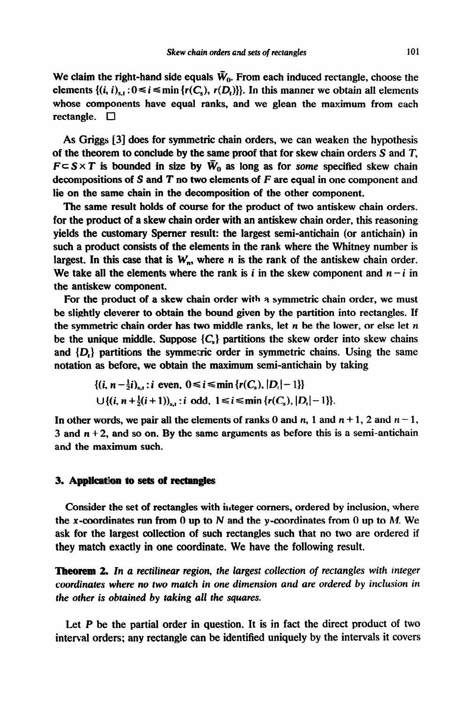We claim the right-hand side equals  $\bar{W}_0$ . From each induced rectangle, choose the elements  $\{(i, i)_{s,t}: 0 \le i \le \min\{r(C_s), r(D_t)\}\}\)$ . In this manner we obtain all elements whose components have equal ranks, and we glean the maximum from each rectangle.  $\Box$ 

As Griggs [3] does for symmetric chain orders, we can weaken the hypothesis of the theorem to conclude by the same proof that for skew chain orders S and T,  $F \subset S \times T$  is bounded in size by  $\bar{W}_0$  as long as for some specified skew chain decompositions of S and T no two elements of *F me* equal in one component and lie on the same chain in the decomposition of the other component.

The same result holds of course for the product of two antiskew chain orders. for the product of a skew chain order with an antiskew chain order, this reasoning yields the customary Spemer result: the largest semi-antichain (or antichain) in such a product consists of the elements in the rank where the Whitney number is largest. In this case that is  $W_n$ , where n is the rank of the antiskew chain order. We take all the elements where the rank is *i* in the skew component and  $n - i$  in the antiskew component.

For the product of a skew chain order with a symmetric chain order, we must be slightly cleverer to obtain the bound given by the partition into rectangles. If the symmetric chain order has two middle ranks, let n be the lower, or else let *n*  be the unique middle. Suppose  ${C<sub>l</sub>}$  partitions the skew order into skew chains and  $\{D_t\}$  partitions the symmetric order in symmetric chains. Using the same notation as before, we obtain the maximum semi-antichain by taking

$$
\{(i, n-\frac{1}{2}i)_{s,t}: i \text{ even}, 0 \le i \le \min\{r(C_s), |D_t|-1\}\}
$$
  

$$
\bigcup \{(i, n+\frac{1}{2}(i+1))_{s,t}: i \text{ odd}, 1 \le i \le \min\{r(C_s), |D_t|-1\}\}.
$$

In other words, we pair all the elements of ranks 0 and *n*, 1 and  $n + 1$ , 2 and  $n - 1$ , 3 and  $n + 2$ , and so on. By the same arguments as before this is a semi-antichain and the maximum such.

#### 3. **Appliaatiion to sets of rectangles**

Consider the set of rectangles with integer corners, ordered by inclusion, where the x-coordinates run from 0 up to N and the y-coordinates from 0 up to M. We ask for the largest collection of such rectangles such that no two are ordered if they match exactly in one coordinate. We have the following result.

**Theorem 2.** In a rectilinear region, the largest collection of rectangles with integer *coordinates where no two match in one dimension and are ordered by inclusion in the other is obtained by taking* all *the squares.* 

Let P be the partial order in question. It is in fact the direct product *of two*  interval orders; any rectangle can be identified uniquely by the intervals it covers